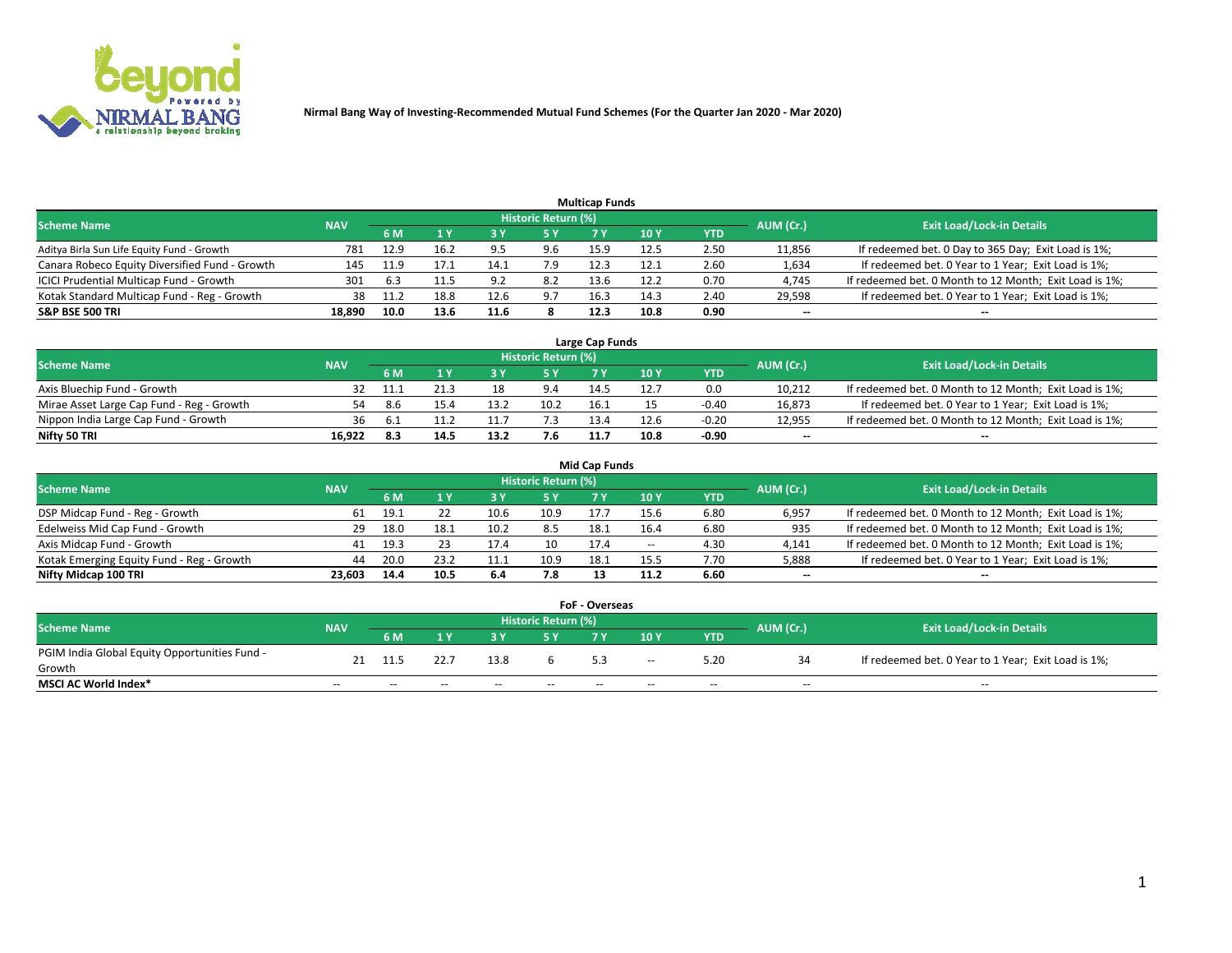

|                                                |            |       |      |      |                     | <b>Multicap Funds</b> |                 |      |           |                                                        |
|------------------------------------------------|------------|-------|------|------|---------------------|-----------------------|-----------------|------|-----------|--------------------------------------------------------|
| <b>Scheme Name</b>                             | <b>NAV</b> |       |      |      | Historic Return (%) |                       |                 |      | AUM (Cr.) | <b>Exit Load/Lock-in Details</b>                       |
|                                                |            | 6 M   |      |      | 5 Y                 |                       | 10 <sub>Y</sub> | YTD  |           |                                                        |
| Aditya Birla Sun Life Equity Fund - Growth     | 781        | 12.9  | 16.2 | 95   | 9.6                 | 15.9                  | 12.5            | 2.50 | 11,856    | If redeemed bet. 0 Day to 365 Day; Exit Load is 1%;    |
| Canara Robeco Equity Diversified Fund - Growth | 145        | 11.9  | 17.1 | 14.1 | 7.9                 | 12.3                  | 12.1            | 2.60 | 1,634     | If redeemed bet. 0 Year to 1 Year; Exit Load is 1%;    |
| ICICI Prudential Multicap Fund - Growth        | 301        | -6.3  | 11.5 | Q J  | 8.2                 | 13.6                  | 12.2            | 0.70 | 4,745     | If redeemed bet. 0 Month to 12 Month; Exit Load is 1%; |
| Kotak Standard Multicap Fund - Reg - Growth    | 38         | -11.2 | 18.8 | 12.6 | 9.7                 | 16.3                  | 14.3            | 2.40 | 29,598    | If redeemed bet. 0 Year to 1 Year; Exit Load is 1%;    |
| <b>S&amp;P BSE 500 TRI</b>                     | 18.890     | 10.0  | 13.6 | 11.6 |                     | 12.3                  | 10.8            | 0.90 | $- -$     | $-$                                                    |

| Large Cap Funds                           |            |      |      |      |                            |      |               |         |           |                                                        |  |  |  |  |
|-------------------------------------------|------------|------|------|------|----------------------------|------|---------------|---------|-----------|--------------------------------------------------------|--|--|--|--|
| Scheme Name                               | <b>NAV</b> |      |      |      | <b>Historic Return (%)</b> |      |               |         | AUM (Cr.) | <b>Exit Load/Lock-in Details</b>                       |  |  |  |  |
|                                           |            | 6 M  |      |      | 5 Y                        |      | $\sqrt{10}$ Y | YTD     |           |                                                        |  |  |  |  |
| Axis Bluechip Fund - Growth               |            |      |      | 10   | 9.4                        | 14.5 | 12.7          | 0.0     | 10,212    | If redeemed bet. 0 Month to 12 Month; Exit Load is 1%; |  |  |  |  |
| Mirae Asset Large Cap Fund - Reg - Growth | 54         | -8.6 | 15.4 | 13.2 | 10.2                       | 16.1 |               | $-0.40$ | 16,873    | If redeemed bet. 0 Year to 1 Year; Exit Load is 1%;    |  |  |  |  |
| Nippon India Large Cap Fund - Growth      | 36         |      |      |      |                            | 13.4 | 12.6          | $-0.20$ | 12,955    | If redeemed bet. 0 Month to 12 Month; Exit Load is 1%; |  |  |  |  |
| Nifty 50 TRI                              | 16.922     | 8.3  |      | 13.2 | 7.6                        | 11.7 | 10.8          | $-0.90$ | $\sim$    | $-$                                                    |  |  |  |  |

|                                           |            |      |      |      |                     | <b>Mid Cap Funds</b> |        |            |           |                                                        |
|-------------------------------------------|------------|------|------|------|---------------------|----------------------|--------|------------|-----------|--------------------------------------------------------|
| <b>Scheme Name</b>                        | <b>NAV</b> |      |      |      | Historic Return (%) |                      |        |            | AUM (Cr.) | <b>Exit Load/Lock-in Details</b>                       |
|                                           |            | 6 M  |      |      |                     |                      | 10Y    | <b>YTD</b> |           |                                                        |
| DSP Midcap Fund - Reg - Growth            | 61         | 19.1 |      | 10.6 | 10.9                | 17.7                 | 15.6   | 6.80       | 6,957     | If redeemed bet. 0 Month to 12 Month; Exit Load is 1%; |
| Edelweiss Mid Cap Fund - Growth           | 29         | 18.0 | 18.1 | 10.2 | 8.5                 | 18.1                 | 16.4   | 6.80       | 935       | If redeemed bet. 0 Month to 12 Month; Exit Load is 1%; |
| Axis Midcap Fund - Growth                 | 41         | 19.3 |      | 17.4 | 10                  | 17.4                 | $\sim$ | 4.30       | 4,141     | If redeemed bet. 0 Month to 12 Month; Exit Load is 1%; |
| Kotak Emerging Equity Fund - Reg - Growth | 44         | 20.0 | 23.2 | 11.1 | 10.9                | 18.1                 | 15.5   | 7.70       | 5,888     | If redeemed bet. 0 Year to 1 Year; Exit Load is 1%;    |
| Nifty Midcap 100 TRI                      | 23.603     | 14.4 | 10.5 | 6.4  | 7.8                 | 13                   | 11.2   | 6.60       | $\sim$    |                                                        |

| <b>FoF - Overseas</b>                         |            |       |       |       |                            |    |        |            |           |                                                     |  |  |  |
|-----------------------------------------------|------------|-------|-------|-------|----------------------------|----|--------|------------|-----------|-----------------------------------------------------|--|--|--|
| <b>Scheme Name</b>                            | <b>NAV</b> |       |       |       | <b>Historic Return (%)</b> |    |        |            | AUM (Cr.) | <b>Exit Load/Lock-in Details</b>                    |  |  |  |
|                                               |            | 6 M   |       |       |                            |    | 10Y    | <b>YTD</b> |           |                                                     |  |  |  |
| PGIM India Global Equity Opportunities Fund - |            |       |       | 13.8  |                            |    | $\sim$ | 5.20       |           | If redeemed bet. 0 Year to 1 Year; Exit Load is 1%; |  |  |  |
| Growth                                        |            |       |       |       |                            |    |        |            |           |                                                     |  |  |  |
| <b>MSCI AC World Index*</b>                   | $- -$      | $- -$ | $- -$ | $- -$ | $- -$                      | -- | $- -$  | $- -$      | $- -$     | $- -$                                               |  |  |  |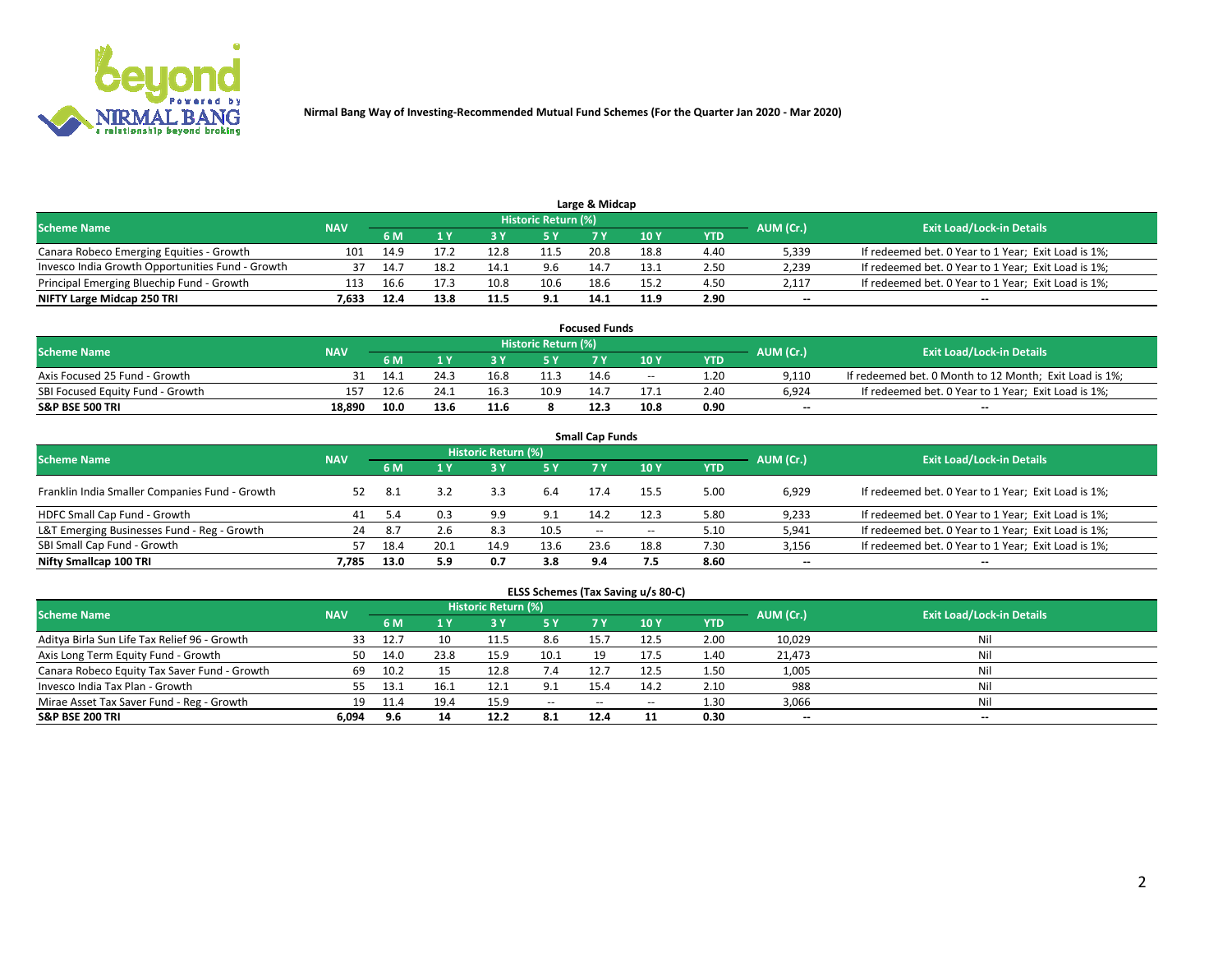

| Large & Midcap                                   |            |      |      |      |                     |      |      |      |                          |                                                     |  |  |  |  |
|--------------------------------------------------|------------|------|------|------|---------------------|------|------|------|--------------------------|-----------------------------------------------------|--|--|--|--|
| <b>Scheme Name</b>                               | <b>NAV</b> |      |      |      | Historic Return (%) |      |      |      | AUM (Cr.)                | <b>Exit Load/Lock-in Details</b>                    |  |  |  |  |
|                                                  |            | 6 M  |      |      | /5 Y                |      | 10Y  | YTD  |                          |                                                     |  |  |  |  |
| Canara Robeco Emerging Equities - Growth         | 101        | 14.9 | 17.2 | 12.8 | 11.5                | 20.8 | 18.8 | 4.40 | 5,339                    | If redeemed bet. 0 Year to 1 Year; Exit Load is 1%; |  |  |  |  |
| Invesco India Growth Opportunities Fund - Growth | 37         | 14.7 | 18.2 | 14.1 | 9.6                 | 14.7 | 13.1 | 2.50 | 2,239                    | If redeemed bet. 0 Year to 1 Year; Exit Load is 1%; |  |  |  |  |
| Principal Emerging Bluechip Fund - Growth        | 113        | 16.6 | 17.3 | 10.8 | 10.6                | 18.6 | 15.2 | 4.50 | 2,117                    | If redeemed bet. 0 Year to 1 Year; Exit Load is 1%; |  |  |  |  |
| NIFTY Large Midcap 250 TRI                       | 7.633      | 12.4 | 13.8 | 11.5 | 9.1                 | 14.1 | 11.9 | 2.90 | $\overline{\phantom{a}}$ | $-$                                                 |  |  |  |  |

| <b>Focused Funds</b>             |            |      |      |  |                     |      |       |            |           |                                                        |  |  |  |
|----------------------------------|------------|------|------|--|---------------------|------|-------|------------|-----------|--------------------------------------------------------|--|--|--|
| <b>Scheme Name</b>               | <b>NAV</b> |      |      |  | Historic Return (%) |      |       |            | AUM (Cr.) | <b>Exit Load/Lock-in Details</b>                       |  |  |  |
|                                  |            | 6 M  |      |  |                     |      | 10 Y  | <b>YTD</b> |           |                                                        |  |  |  |
| Axis Focused 25 Fund - Growth    |            |      | 24.3 |  | 11.3                | 14.6 | $- -$ | 1.20       | 9.110     | If redeemed bet. 0 Month to 12 Month; Exit Load is 1%; |  |  |  |
| SBI Focused Equity Fund - Growth | 157        |      | 24.1 |  | 10.9                | 14.7 | 17.1  | 2.4C       | 6.924     | If redeemed bet. 0 Year to 1 Year; Exit Load is 1%;    |  |  |  |
| <b>S&amp;P BSE 500 TRI</b>       | 18.890     | 10.0 |      |  |                     | 12.3 | 10.8  | 0.90       | $\sim$    | $- -$                                                  |  |  |  |

|                                                |            |      |      |                     |      | <b>Small Cap Funds</b> |        |            |           |                                                     |
|------------------------------------------------|------------|------|------|---------------------|------|------------------------|--------|------------|-----------|-----------------------------------------------------|
| <b>Scheme Name</b>                             | <b>NAV</b> |      |      | Historic Return (%) |      |                        |        |            | AUM (Cr.) | <b>Exit Load/Lock-in Details</b>                    |
|                                                |            | 6 M  |      |                     | 5 Y  |                        | 10Y    | <b>YTD</b> |           |                                                     |
| Franklin India Smaller Companies Fund - Growth | 52         | 8.1  |      | 3.3                 | 6.4  | 17.4                   | 15.5   | 5.00       | 6,929     | If redeemed bet. 0 Year to 1 Year; Exit Load is 1%; |
| HDFC Small Cap Fund - Growth                   | 41         |      | 0.3  | 9.9                 | 9.1  | 14.2                   | 12.3   | 5.80       | 9,233     | If redeemed bet. 0 Year to 1 Year; Exit Load is 1%; |
| L&T Emerging Businesses Fund - Reg - Growth    | 24         | -8.7 | 2.6  | 8.3                 | 10.5 | $- -$                  | $\sim$ | 5.10       | 5,941     | If redeemed bet. 0 Year to 1 Year; Exit Load is 1%; |
| SBI Small Cap Fund - Growth                    | 57         | 18.4 | 20.1 | 14.9                | 13.6 | 23.6                   | 18.8   | 7.30       | 3,156     | If redeemed bet. 0 Year to 1 Year; Exit Load is 1%; |
| Nifty Smallcap 100 TRI                         | 7.785      | 13.0 | 5.9  | 0.7                 | 3.8  | 9.4                    | 7.5    | 8.60       | $\sim$    | $- -$                                               |

## **ELSS Schemes (Tax Saving u/s 80-C)**

| <b>Scheme Name</b>                           | <b>NAV</b> |      |      | <b>Historic Return (%)</b> |           |                          |               | AUM (Cr.) | <b>Exit Load/Lock-in Details</b> |       |
|----------------------------------------------|------------|------|------|----------------------------|-----------|--------------------------|---------------|-----------|----------------------------------|-------|
|                                              |            | 6 M  | 4 Y  | 73 Y                       | <b>5Y</b> | 7 Y                      | $\sqrt{10}$ Y | YTD       |                                  |       |
| Aditya Birla Sun Life Tax Relief 96 - Growth |            |      |      | 11.5                       | 8.6       | 15.                      | 12.5          | 2.00      | 10,029                           | Nil   |
| Axis Long Term Equity Fund - Growth          | 50         | 14.0 | 23.8 | 15.9                       | 10.1      | 19                       | 17.5          | 1.40      | 21,473                           | Nil   |
| Canara Robeco Equity Tax Saver Fund - Growth | 69         | 10.2 |      | 12.8                       | 7.4       | 12.7                     | 12.5          | 1.50      | 1,005                            | Nil   |
| Invesco India Tax Plan - Growth              | 55         | 13.1 | 16.1 | 12.1                       | 9.1       | 15.4                     | 14.2          | 2.10      | 988                              | Nil   |
| Mirae Asset Tax Saver Fund - Reg - Growth    | 19         |      | 19.4 |                            | $\sim$    | $\overline{\phantom{m}}$ | --            | 1.30      | 3,066                            | Nil   |
| S&P BSE 200 TRI                              | 6,094      | 9.6  |      | 12.2                       | 8.1       | 12.4                     |               | 0.30      | $-$                              | $- -$ |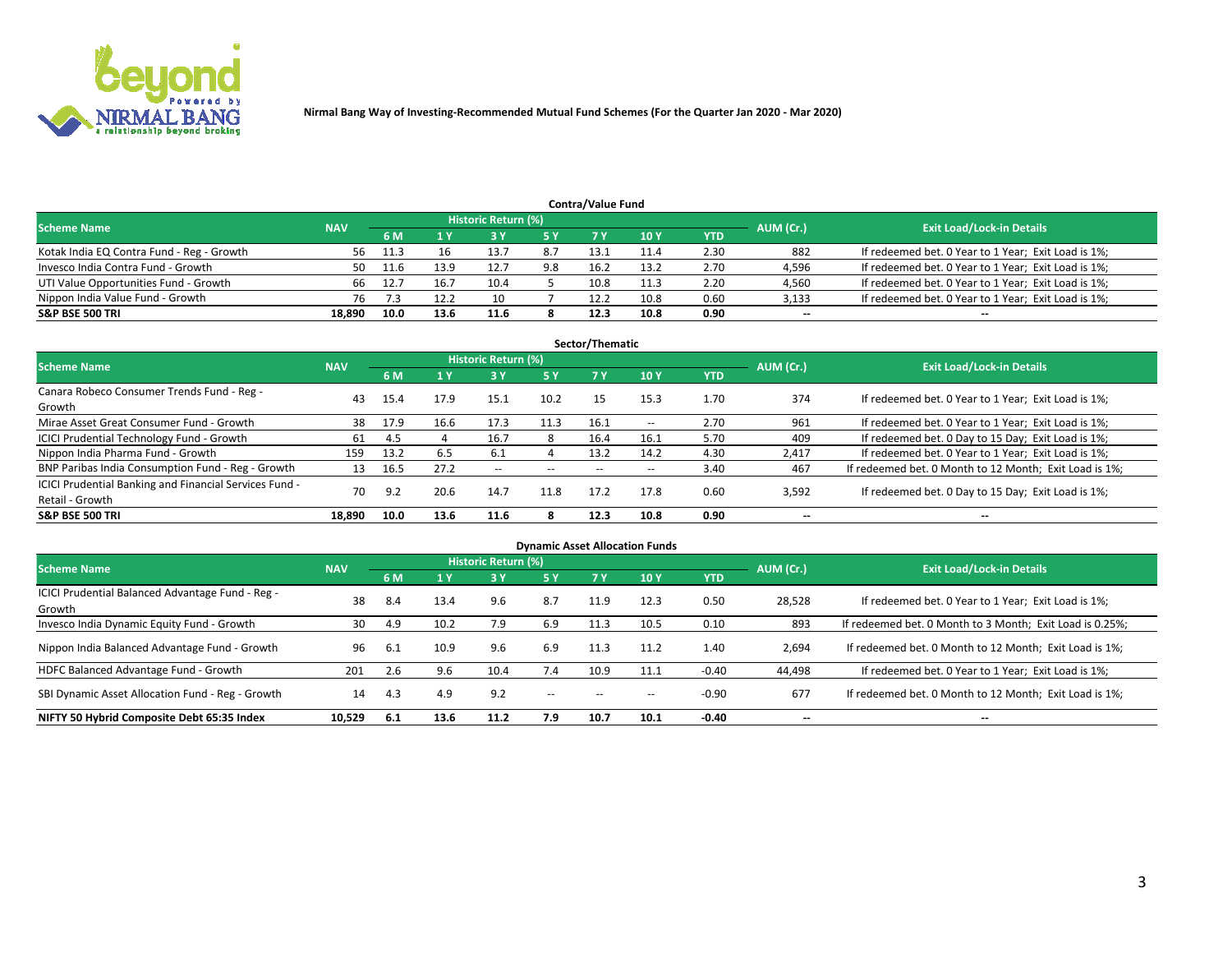

| <b>Contra/Value Fund</b><br>Historic Return (%) |            |       |      |      |     |      |      |      |           |                                                     |  |  |  |
|-------------------------------------------------|------------|-------|------|------|-----|------|------|------|-----------|-----------------------------------------------------|--|--|--|
| <b>Scheme Name</b>                              | <b>NAV</b> | 6 M   |      |      | 5 Y | 7 V  | 10Y  | YTD  | AUM (Cr.) | <b>Exit Load/Lock-in Details</b>                    |  |  |  |
| Kotak India EQ Contra Fund - Reg - Growth       | 56         | -11.3 |      | 13.7 | 8.7 | 13.1 |      | 2.30 | 882       | If redeemed bet. 0 Year to 1 Year; Exit Load is 1%; |  |  |  |
| Invesco India Contra Fund - Growth              | 50         |       | 13.9 |      | 9.8 | 16.2 | 13.2 | 2.70 | 4,596     | If redeemed bet. 0 Year to 1 Year; Exit Load is 1%; |  |  |  |
| UTI Value Opportunities Fund - Growth           | 66         | 12.7  | 16.7 | 10.4 |     | 10.8 | 11.3 | 2.20 | 4,560     | If redeemed bet. 0 Year to 1 Year; Exit Load is 1%; |  |  |  |
| Nippon India Value Fund - Growth                | 76         |       | 12.2 | 10   |     | 12.2 | 10.8 | 0.60 | 3,133     | If redeemed bet. 0 Year to 1 Year; Exit Load is 1%; |  |  |  |
| <b>S&amp;P BSE 500 TRI</b>                      | 18.890     | 10.0  | 13.6 | 11.6 |     | 12.3 | 10.8 | 0.90 | $\sim$    | $- -$                                               |  |  |  |

| Sector/Thematic                                                           |            |      |      |                     |       |       |                          |            |                          |                                                        |  |  |  |
|---------------------------------------------------------------------------|------------|------|------|---------------------|-------|-------|--------------------------|------------|--------------------------|--------------------------------------------------------|--|--|--|
| <b>Scheme Name</b>                                                        | <b>NAV</b> |      |      | Historic Return (%) |       |       |                          |            | AUM (Cr.)                | <b>Exit Load/Lock-in Details</b>                       |  |  |  |
|                                                                           |            | 6 M  | 1 Y  | 73 Y                | 5 Y   | 7 Y   | 10Y                      | <b>YTD</b> |                          |                                                        |  |  |  |
| Canara Robeco Consumer Trends Fund - Reg -<br>Growth                      | 43         | 15.4 | 17.9 | 15.1                | 10.2  | 15    | 15.3                     | 1.70       | 374                      | If redeemed bet. 0 Year to 1 Year; Exit Load is 1%;    |  |  |  |
| Mirae Asset Great Consumer Fund - Growth                                  | 38         | 17.9 | 16.6 | 17.3                | 11.3  | 16.1  | $\overline{\phantom{a}}$ | 2.70       | 961                      | If redeemed bet. 0 Year to 1 Year; Exit Load is 1%;    |  |  |  |
| ICICI Prudential Technology Fund - Growth                                 | 61         | 4.5  |      | 16.7                | 8     | 16.4  | 16.1                     | 5.70       | 409                      | If redeemed bet. 0 Day to 15 Day; Exit Load is 1%;     |  |  |  |
| Nippon India Pharma Fund - Growth                                         | 159        | 13.2 | 6.5  | 6.1                 |       | 13.2  | 14.2                     | 4.30       | 2,417                    | If redeemed bet. 0 Year to 1 Year; Exit Load is 1%;    |  |  |  |
| BNP Paribas India Consumption Fund - Reg - Growth                         | 13         | 16.5 | 27.2 | $- -$               | $- -$ | $- -$ | $- -$                    | 3.40       | 467                      | If redeemed bet. 0 Month to 12 Month; Exit Load is 1%; |  |  |  |
| ICICI Prudential Banking and Financial Services Fund -<br>Retail - Growth | 70         | 9.2  | 20.6 | 14.7                | 11.8  | 17.2  | 17.8                     | 0.60       | 3,592                    | If redeemed bet. 0 Day to 15 Day; Exit Load is 1%;     |  |  |  |
| <b>S&amp;P BSE 500 TRI</b>                                                | 18.890     | 10.0 | 13.6 | 11.6                | я     | 12.3  | 10.8                     | 0.90       | $\overline{\phantom{a}}$ | $\overline{\phantom{a}}$                               |  |  |  |

|                                                            |            |      |      |                     |        |      | <b>Dynamic Asset Allocation Funds</b> |            |                          |                                                          |
|------------------------------------------------------------|------------|------|------|---------------------|--------|------|---------------------------------------|------------|--------------------------|----------------------------------------------------------|
| <b>Scheme Name</b>                                         | <b>NAV</b> |      |      | Historic Return (%) |        |      |                                       |            | AUM (Cr.)                | <b>Exit Load/Lock-in Details</b>                         |
|                                                            |            | 6 M  |      | 3 Y                 | 5 Y    | 7 Y  | 10 <sub>Y</sub>                       | <b>YTD</b> |                          |                                                          |
| ICICI Prudential Balanced Advantage Fund - Reg -<br>Growth | 38         | 8.4  | 13.4 | 9.6                 | 8.7    | 11.9 | 12.3                                  | 0.50       | 28,528                   | If redeemed bet. 0 Year to 1 Year; Exit Load is 1%;      |
| Invesco India Dynamic Equity Fund - Growth                 | 30         | 4.9  | 10.2 | 7.9                 | 6.9    | 11.3 | 10.5                                  | 0.10       | 893                      | If redeemed bet. 0 Month to 3 Month; Exit Load is 0.25%; |
| Nippon India Balanced Advantage Fund - Growth              | 96         | -6.1 | 10.9 | 9.6                 | 6.9    | 11.3 | 11.2                                  | 1.40       | 2,694                    | If redeemed bet. 0 Month to 12 Month; Exit Load is 1%;   |
| HDFC Balanced Advantage Fund - Growth                      | 201        | 2.6  | 9.6  | 10.4                | 7.4    | 10.9 | 11.1                                  | $-0.40$    | 44,498                   | If redeemed bet. 0 Year to 1 Year; Exit Load is 1%;      |
| SBI Dynamic Asset Allocation Fund - Reg - Growth           | 14         | 4.3  | 4.9  | 9.2                 | $\sim$ | --   | --                                    | $-0.90$    | 677                      | If redeemed bet. 0 Month to 12 Month; Exit Load is 1%;   |
| NIFTY 50 Hybrid Composite Debt 65:35 Index                 | 10,529     | -6.1 | 13.6 | 11.2                | 7.9    | 10.7 | 10.1                                  | $-0.40$    | $\overline{\phantom{a}}$ | $\overline{\phantom{a}}$                                 |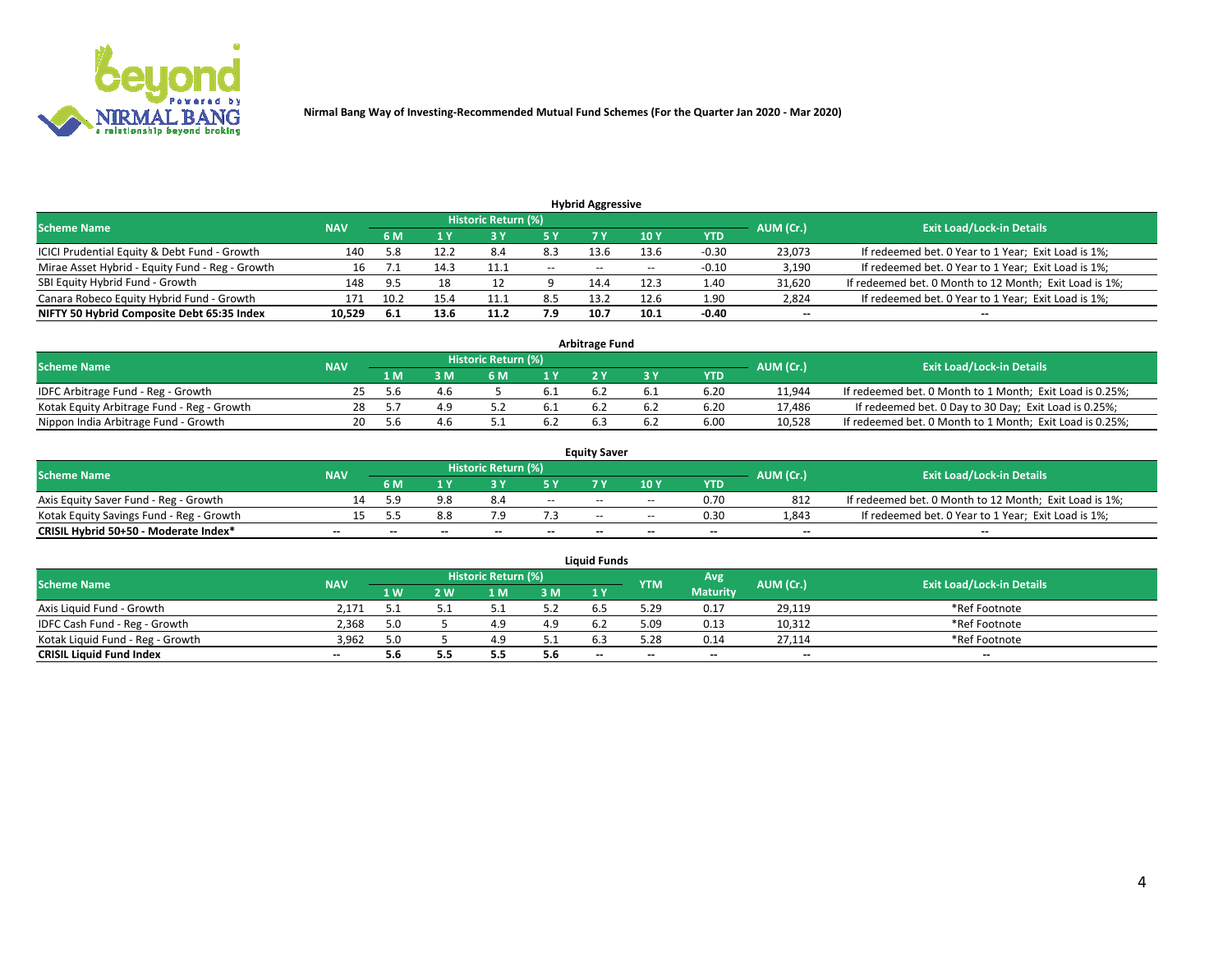

|                                                 |            |      |      |                     |       | <b>Hybrid Aggressive</b> |                 |         |                          |                                                        |
|-------------------------------------------------|------------|------|------|---------------------|-------|--------------------------|-----------------|---------|--------------------------|--------------------------------------------------------|
| <b>Scheme Name</b>                              | <b>NAV</b> |      |      | Historic Return (%) |       |                          |                 |         | AUM (Cr.)                | <b>Exit Load/Lock-in Details</b>                       |
|                                                 |            | 6 M  |      |                     | 5 Y   | 7 Y                      | 10 <sub>Y</sub> | YTD     |                          |                                                        |
| ICICI Prudential Equity & Debt Fund - Growth    | 140        | 5.8  | 12.2 | 8.4                 | 8.3   | 13.6                     | 13.6            | $-0.30$ | 23,073                   | If redeemed bet. 0 Year to 1 Year; Exit Load is 1%;    |
| Mirae Asset Hybrid - Equity Fund - Reg - Growth |            |      | 14.3 | 11.1                | $- -$ | $- -$                    | $- -$           | $-0.10$ | 3,190                    | If redeemed bet. 0 Year to 1 Year; Exit Load is 1%;    |
| SBI Equity Hybrid Fund - Growth                 | 148        | 9.5  | 18   |                     |       | 14.4                     | 12.3            | 1.40    | 31,620                   | If redeemed bet. 0 Month to 12 Month; Exit Load is 1%; |
| Canara Robeco Equity Hybrid Fund - Growth       | 171        | 10.2 | 15.4 | 11.1                | 8.5   | 13.2                     | 12.6            | 1.90    | 2,824                    | If redeemed bet. 0 Year to 1 Year; Exit Load is 1%;    |
| NIFTY 50 Hybrid Composite Debt 65:35 Index      | 10,529     | -6.1 | 13.6 | 11.2                | 7.9   | 10.7                     | 10.1            | $-0.40$ | $\overline{\phantom{a}}$ | $- -$                                                  |

|                                            | <b>Arbitrage Fund</b> |                                  |    |     |      |     |  |      |        |                                                          |  |  |  |  |  |
|--------------------------------------------|-----------------------|----------------------------------|----|-----|------|-----|--|------|--------|----------------------------------------------------------|--|--|--|--|--|
| Scheme Name                                | AUM (Cr.)             | <b>Exit Load/Lock-in Details</b> |    |     |      |     |  |      |        |                                                          |  |  |  |  |  |
|                                            | <b>NAV</b>            | 1 M                              | ßΜ | 6 M |      |     |  | YTD  |        |                                                          |  |  |  |  |  |
| IDFC Arbitrage Fund - Reg - Growth         | 25                    | .5.b                             |    |     | 6.1  |     |  | 6.20 | 11,944 | If redeemed bet. 0 Month to 1 Month; Exit Load is 0.25%; |  |  |  |  |  |
| Kotak Equity Arbitrage Fund - Reg - Growth | 28.                   |                                  |    |     | -6.1 |     |  | 6.20 | 17,486 | If redeemed bet. 0 Day to 30 Day; Exit Load is 0.25%;    |  |  |  |  |  |
| Nippon India Arbitrage Fund - Growth       | 20                    | 56 h                             |    |     | 6.2  | b.: |  | 6.00 | 10.528 | If redeemed bet. 0 Month to 1 Month; Exit Load is 0.25%; |  |  |  |  |  |

|                                          |            |           |                                  |                          |                          | <b>Equity Saver</b> |        |            |                          |                                                        |
|------------------------------------------|------------|-----------|----------------------------------|--------------------------|--------------------------|---------------------|--------|------------|--------------------------|--------------------------------------------------------|
| Scheme Name                              | <b>NAV</b> | AUM (Cr.) | <b>Exit Load/Lock-in Details</b> |                          |                          |                     |        |            |                          |                                                        |
|                                          |            | 6 M       |                                  |                          |                          |                     | 10 Y   | <b>YTD</b> |                          |                                                        |
| Axis Equity Saver Fund - Reg - Growth    |            | : a       |                                  |                          | $\sim$                   | $- -$               | $\sim$ | 0.70       | 812                      | If redeemed bet. 0 Month to 12 Month; Exit Load is 1%; |
| Kotak Equity Savings Fund - Reg - Growth |            |           | 8.8                              |                          |                          | $- -$               | $- -$  | 0.30       | 1,843                    | If redeemed bet. 0 Year to 1 Year; Exit Load is 1%;    |
| CRISIL Hybrid 50+50 - Moderate Index*    |            | --        | $-$                              | $\overline{\phantom{a}}$ | $\overline{\phantom{a}}$ | $\sim$              | --     | $\sim$     | $\overline{\phantom{a}}$ | $-$                                                    |

| <b>Liquid Funds</b>              |            |      |     |                            |      |                          |            |                 |           |                                  |  |  |  |  |
|----------------------------------|------------|------|-----|----------------------------|------|--------------------------|------------|-----------------|-----------|----------------------------------|--|--|--|--|
| Scheme Name                      | <b>NAV</b> |      |     | <b>Historic Return (%)</b> |      |                          | <b>YTM</b> | Avg             | AUM (Cr.) | <b>Exit Load/Lock-in Details</b> |  |  |  |  |
|                                  |            | 1 W. | 2 W | 1 M                        | 3 M  | 71 Y                     |            | <b>Maturity</b> |           |                                  |  |  |  |  |
| Axis Liquid Fund - Growth        | 2,171      |      |     |                            | 5.2  |                          | 5.29       | 0.17            | 29,119    | *Ref Footnote                    |  |  |  |  |
| IDFC Cash Fund - Reg - Growth    | 2.368      | 5.0  |     | 4.9                        | 4.9  | 62                       | 5.09       | 0.13            | 10,312    | *Ref Footnote                    |  |  |  |  |
| Kotak Liquid Fund - Reg - Growth | 3.962      |      |     |                            | ۰۰ ت |                          | 5.28       | 0.14            | 27,114    | *Ref Footnote                    |  |  |  |  |
| <b>CRISIL Liquid Fund Index</b>  | $\sim$     | 5.6  |     |                            | 5.6  | $\overline{\phantom{a}}$ | $-$        | $\sim$          | $\sim$    | $\sim$                           |  |  |  |  |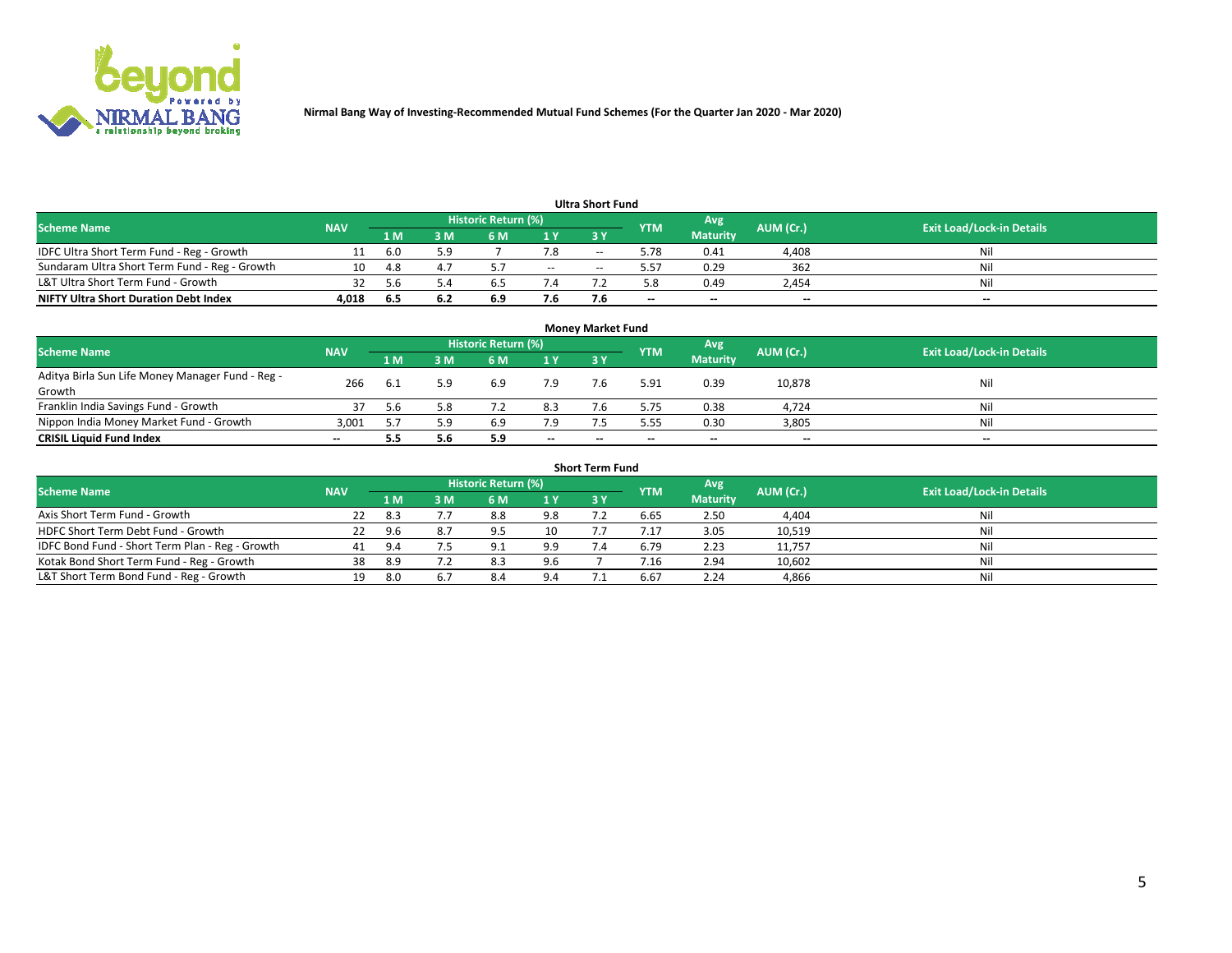

|                                               |            |      |     |                            |       | <b>Ultra Short Fund</b> |            |                 |           |                                  |
|-----------------------------------------------|------------|------|-----|----------------------------|-------|-------------------------|------------|-----------------|-----------|----------------------------------|
| <b>Scheme Name</b>                            | <b>NAV</b> |      |     | <b>Historic Return (%)</b> |       |                         | <b>YTM</b> | Avg             | AUM (Cr.) | <b>Exit Load/Lock-in Details</b> |
|                                               |            | 1 M  | 3 M | 6 M                        | 1 Y   | 3 Y                     |            | <b>Maturity</b> |           |                                  |
| IDFC Ultra Short Term Fund - Reg - Growth     |            | -6.0 | 5.9 |                            | 7.8   | $- -$                   | 5.78       | 0.41            | 4,408     | Nil                              |
| Sundaram Ultra Short Term Fund - Reg - Growth | 10         | 4.8  |     |                            | $- -$ |                         | 5.57       | 0.29            | 362       | Nil                              |
| L&T Ultra Short Term Fund - Growth            |            | 56   |     |                            |       |                         | 5.8        | 0.49            | 2,454     | Nil                              |
| <b>NIFTY Ultra Short Duration Debt Index</b>  | 4.018      | -6.5 | 6.2 | 6.9                        | 7.6   |                         | $\sim$     | $\sim$          | $\sim$    | $- -$                            |

| <b>Money Market Fund</b>                         |            |      |     |                     |        |    |            |                 |           |                                  |  |  |  |  |
|--------------------------------------------------|------------|------|-----|---------------------|--------|----|------------|-----------------|-----------|----------------------------------|--|--|--|--|
| <b>Scheme Name</b>                               | <b>NAV</b> |      |     | Historic Return (%) |        |    | <b>YTM</b> | Avg             | AUM (Cr.) | <b>Exit Load/Lock-in Details</b> |  |  |  |  |
|                                                  |            | 1 M  | 3 M | 6 M                 | 1Y     | 3Y |            | <b>Maturity</b> |           |                                  |  |  |  |  |
| Aditya Birla Sun Life Money Manager Fund - Reg - | 266        | -6.1 | 5.9 | 6.9                 | 7.9    |    | 5.91       | 0.39            | 10,878    | Nil                              |  |  |  |  |
| Growth                                           |            |      |     |                     |        |    |            |                 |           |                                  |  |  |  |  |
| Franklin India Savings Fund - Growth             |            | -5.6 | 5.8 |                     | 8.3    |    | 5.75       | 0.38            | 4,724     | Nil                              |  |  |  |  |
| Nippon India Money Market Fund - Growth          | 3.001      |      | 5.9 | 6.9                 | 7.9    |    | 5.55       | 0.30            | 3,805     | Nil                              |  |  |  |  |
| <b>CRISIL Liquid Fund Index</b>                  | $- -$      |      | 5.6 | 5.9                 | $\sim$ | -- | --         | $\sim$          | $\sim$    | $\sim$                           |  |  |  |  |

| <b>Short Term Fund</b>                          |            |      |     |                            |     |           |            |                 |           |                                  |  |  |  |  |
|-------------------------------------------------|------------|------|-----|----------------------------|-----|-----------|------------|-----------------|-----------|----------------------------------|--|--|--|--|
| <b>Scheme Name</b>                              | <b>NAV</b> |      |     | <b>Historic Return (%)</b> |     |           | <b>YTM</b> | Avg             | AUM (Cr.) | <b>Exit Load/Lock-in Details</b> |  |  |  |  |
|                                                 |            | 1 M  | 3 M | 6 M                        | 1Y  | <b>3Y</b> |            | <b>Maturity</b> |           |                                  |  |  |  |  |
| Axis Short Term Fund - Growth                   | 22         | -8.3 |     | 8.8                        | 9.8 |           | 6.65       | 2.50            | 4,404     | Nil                              |  |  |  |  |
| HDFC Short Term Debt Fund - Growth              | 22         | 9.6  | 8.7 | Q                          | 10  |           | 7.17       | 3.05            | 10,519    | Nil                              |  |  |  |  |
| IDFC Bond Fund - Short Term Plan - Reg - Growth | 41         | 9.4  |     | Q <sub>1</sub>             | 9.9 |           | 6.79       | 2.23            | 11,757    | Nil                              |  |  |  |  |
| Kotak Bond Short Term Fund - Reg - Growth       | 38         | -8.9 |     | 8.3                        | 9.6 |           | / .16      | 2.94            | 10,602    | Nil                              |  |  |  |  |
| L&T Short Term Bond Fund - Reg - Growth         | 19.        | 8.0  |     | 8.4                        | 9.4 |           | 6.67       | 2.24            | 4,866     | Nil                              |  |  |  |  |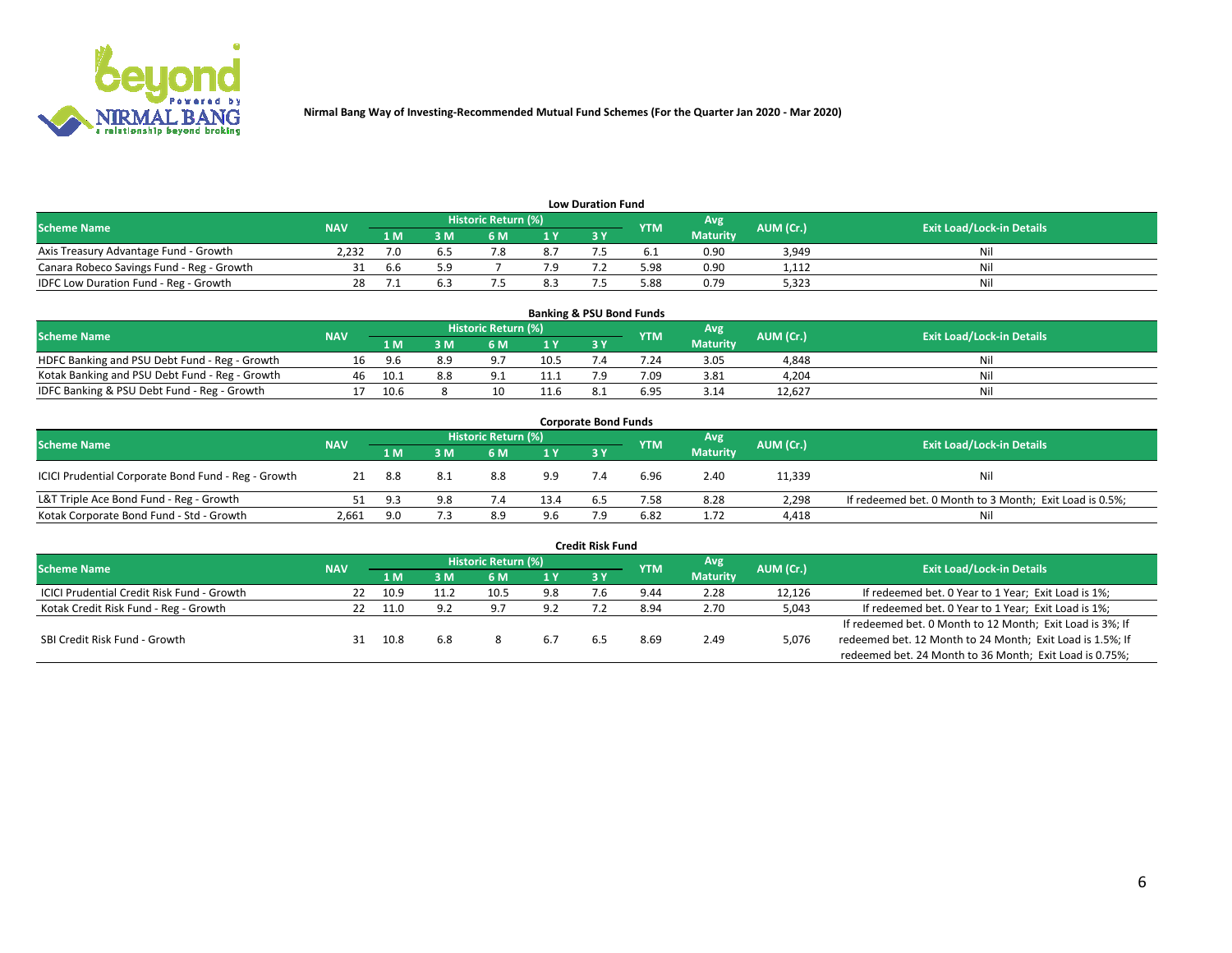

| <b>Low Duration Fund</b>                  |            |     |     |                            |     |  |            |                 |           |                                  |  |  |  |  |
|-------------------------------------------|------------|-----|-----|----------------------------|-----|--|------------|-----------------|-----------|----------------------------------|--|--|--|--|
| <b>Scheme Name</b>                        | <b>NAV</b> |     |     | <b>Historic Return (%)</b> |     |  | <b>YTM</b> | Avg             | AUM (Cr.) | <b>Exit Load/Lock-in Details</b> |  |  |  |  |
|                                           |            | 1 M | ያ M | 5 M                        | 1 V |  |            | <b>Maturity</b> |           |                                  |  |  |  |  |
| Axis Treasury Advantage Fund - Growth     | 2.232      |     |     |                            | 8.7 |  |            | 0.90            | 3,949     | Nil                              |  |  |  |  |
| Canara Robeco Savings Fund - Reg - Growth |            | b.b | 5.9 |                            |     |  | 5.98       | 0.90            | 1,112     | Nil                              |  |  |  |  |
| IDFC Low Duration Fund - Reg - Growth     |            |     |     |                            | 8.3 |  | 5.88       | 0.79            | 5,323     | Nil                              |  |  |  |  |

| <b>Banking &amp; PSU Bond Funds</b>            |            |      |     |                            |                |           |            |                 |           |                                  |  |  |  |
|------------------------------------------------|------------|------|-----|----------------------------|----------------|-----------|------------|-----------------|-----------|----------------------------------|--|--|--|
| <b>Scheme Name</b>                             | <b>NAV</b> |      |     | <b>Historic Return (%)</b> |                |           | <b>YTM</b> | Avg             | AUM (Cr.) | <b>Exit Load/Lock-in Details</b> |  |  |  |
|                                                |            | 1 M  | sм  | 6 M                        | 1 <sub>Y</sub> | <b>3Y</b> |            | <b>Maturity</b> |           |                                  |  |  |  |
| HDFC Banking and PSU Debt Fund - Reg - Growth  | 16         | 9.6  | 8.9 | $^{\circ}$                 | 10.5           |           | 7.24       | 3.05            | 4,848     | Ni                               |  |  |  |
| Kotak Banking and PSU Debt Fund - Reg - Growth | 46         | 10.1 | 8.8 | Q <sub>1</sub>             | 11.1           |           | 7.09       | 3.81            | 4,204     | Ni                               |  |  |  |
| IDFC Banking & PSU Debt Fund - Reg - Growth    |            | 10.6 |     | 10                         | 11.6           |           | 6.95       | 3.14            | 12.627    | Ni                               |  |  |  |

| <b>Corporate Bond Funds</b>                         |            |      |     |                            |      |            |            |                 |           |                                                         |  |  |  |
|-----------------------------------------------------|------------|------|-----|----------------------------|------|------------|------------|-----------------|-----------|---------------------------------------------------------|--|--|--|
| <b>Scheme Name</b>                                  | <b>NAV</b> |      |     | <b>Historic Return (%)</b> |      |            | <b>YTM</b> | Avg             | AUM (Cr.) | <b>Exit Load/Lock-in Details</b>                        |  |  |  |
|                                                     |            | 1 M  | 8 M | 6 M                        | 1 Y  | <b>3 Y</b> |            | <b>Maturity</b> |           |                                                         |  |  |  |
| ICICI Prudential Corporate Bond Fund - Reg - Growth | 21         | 8.8  | 8.1 | 8.8                        | 9.9  |            | 6.96       | 2.40            | 11,339    | Nil                                                     |  |  |  |
| L&T Triple Ace Bond Fund - Reg - Growth             |            | ୍ର ୧ | 9.8 |                            | 13.4 | ხ.5        | 7.58       | 8.28            | 2,298     | If redeemed bet. 0 Month to 3 Month; Exit Load is 0.5%; |  |  |  |
| Kotak Corporate Bond Fund - Std - Growth            | 2,661      | 9.0  |     | 8.9                        | 9.6  |            | 6.82       | 1.72            | 4,418     | Nil                                                     |  |  |  |

| <b>Credit Risk Fund</b>                           |            |      |     |                            |     |    |            |                 |           |                                                           |  |  |  |
|---------------------------------------------------|------------|------|-----|----------------------------|-----|----|------------|-----------------|-----------|-----------------------------------------------------------|--|--|--|
| <b>Scheme Name</b>                                | <b>NAV</b> |      |     | <b>Historic Return (%)</b> |     |    | <b>YTM</b> | 'Avg            | AUM (Cr.) | <b>Exit Load/Lock-in Details</b>                          |  |  |  |
|                                                   |            | 1 M  | 3 M | 6 M                        | 1 Y | 3Y |            | <b>Maturity</b> |           |                                                           |  |  |  |
| <b>ICICI Prudential Credit Risk Fund - Growth</b> | 22         | 10.9 |     | 10.5                       | 9.8 |    | 9.44       | 2.28            | 12,126    | If redeemed bet. 0 Year to 1 Year; Exit Load is 1%;       |  |  |  |
| Kotak Credit Risk Fund - Reg - Growth             |            | 11.0 | 9.2 | 9.7                        | 9.2 |    | 8.94       | 2.70            | 5,043     | If redeemed bet. 0 Year to 1 Year; Exit Load is 1%;       |  |  |  |
|                                                   |            |      |     |                            |     |    |            |                 |           | If redeemed bet. 0 Month to 12 Month; Exit Load is 3%; If |  |  |  |
| SBI Credit Risk Fund - Growth                     |            | 10.8 | 6.8 |                            | b.7 |    | 8.69       | 2.49            | 5,076     | redeemed bet. 12 Month to 24 Month; Exit Load is 1.5%; If |  |  |  |
|                                                   |            |      |     |                            |     |    |            |                 |           | redeemed bet. 24 Month to 36 Month; Exit Load is 0.75%;   |  |  |  |